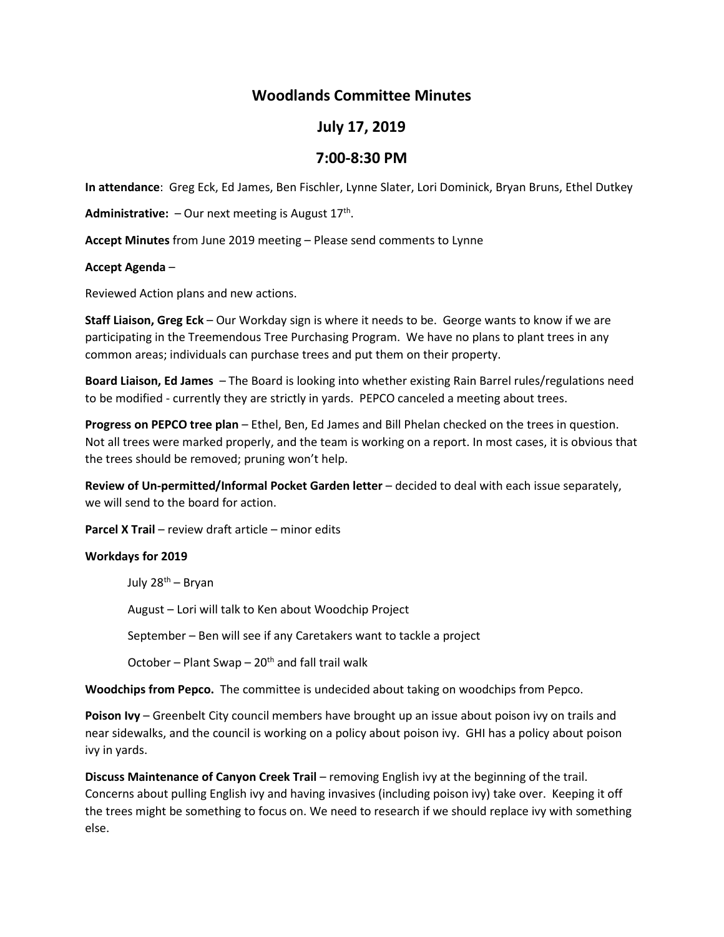# **Woodlands Committee Minutes**

## **July 17, 2019**

## **7:00-8:30 PM**

**In attendance**: Greg Eck, Ed James, Ben Fischler, Lynne Slater, Lori Dominick, Bryan Bruns, Ethel Dutkey

**Administrative:**  $-$  Our next meeting is August  $17<sup>th</sup>$ .

**Accept Minutes** from June 2019 meeting – Please send comments to Lynne

#### **Accept Agenda** –

Reviewed Action plans and new actions.

**Staff Liaison, Greg Eck** – Our Workday sign is where it needs to be. George wants to know if we are participating in the Treemendous Tree Purchasing Program. We have no plans to plant trees in any common areas; individuals can purchase trees and put them on their property.

**Board Liaison, Ed James** – The Board is looking into whether existing Rain Barrel rules/regulations need to be modified - currently they are strictly in yards. PEPCO canceled a meeting about trees.

**Progress on PEPCO tree plan** – Ethel, Ben, Ed James and Bill Phelan checked on the trees in question. Not all trees were marked properly, and the team is working on a report. In most cases, it is obvious that the trees should be removed; pruning won't help.

**Review of Un-permitted/Informal Pocket Garden letter** – decided to deal with each issue separately, we will send to the board for action.

**Parcel X Trail** – review draft article – minor edits

#### **Workdays for 2019**

July 28th – Bryan

August – Lori will talk to Ken about Woodchip Project

September – Ben will see if any Caretakers want to tackle a project

October – Plant Swap –  $20<sup>th</sup>$  and fall trail walk

**Woodchips from Pepco.** The committee is undecided about taking on woodchips from Pepco.

**Poison Ivy** – Greenbelt City council members have brought up an issue about poison ivy on trails and near sidewalks, and the council is working on a policy about poison ivy. GHI has a policy about poison ivy in yards.

**Discuss Maintenance of Canyon Creek Trail** – removing English ivy at the beginning of the trail. Concerns about pulling English ivy and having invasives (including poison ivy) take over. Keeping it off the trees might be something to focus on. We need to research if we should replace ivy with something else.